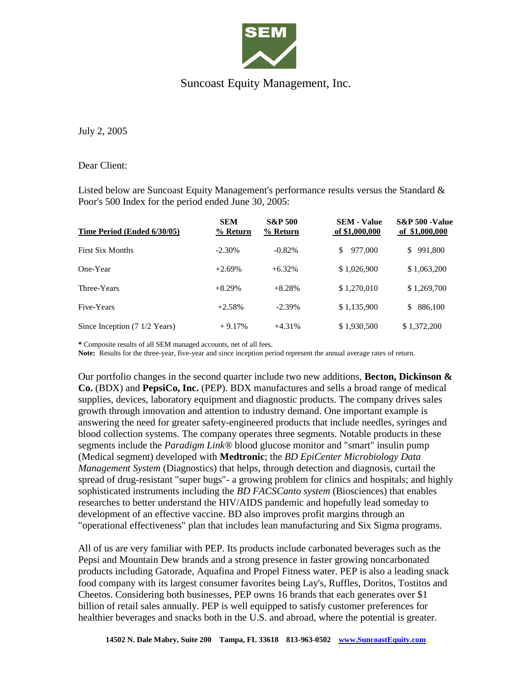

## Suncoast Equity Management, Inc.

July 2, 2005

## Dear Client:

Listed below are Suncoast Equity Management's performance results versus the Standard & Poor's 500 Index for the period ended June 30, 2005:

| Time Period (Ended 6/30/05)                     | <b>SEM</b><br>% Return | <b>S&amp;P 500</b><br>% Return | <b>SEM - Value</b><br>of \$1,000,000 | <b>S&amp;P 500 -Value</b><br>of \$1,000,000 |
|-------------------------------------------------|------------------------|--------------------------------|--------------------------------------|---------------------------------------------|
| <b>First Six Months</b>                         | $-2.30\%$              | $-0.82%$                       | \$<br>977,000                        | 991,800<br>\$.                              |
| One-Year                                        | $+2.69%$               | $+6.32%$                       | \$1,026,900                          | \$1,063,200                                 |
| Three-Years                                     | $+8.29%$               | $+8.28%$                       | \$1,270,010                          | \$1,269,700                                 |
| Five-Years                                      | $+2.58%$               | $-2.39%$                       | \$1,135,900                          | 886,100<br>\$                               |
| Since Inception $(7 \frac{1}{2} \text{ Years})$ | $+9.17%$               | $+4.31%$                       | \$1,930,500                          | \$1,372,200                                 |

**\*** Composite results of all SEM managed accounts, net of all fees.

**Note:** Results for the three-year, five-year and since inception period represent the annual average rates of return.

Our portfolio changes in the second quarter include two new additions, **Becton, Dickinson & Co.** (BDX) and **PepsiCo, Inc.** (PEP). BDX manufactures and sells a broad range of medical supplies, devices, laboratory equipment and diagnostic products. The company drives sales growth through innovation and attention to industry demand. One important example is answering the need for greater safety-engineered products that include needles, syringes and blood collection systems. The company operates three segments. Notable products in these segments include the *Paradigm Link®* blood glucose monitor and "smart" insulin pump (Medical segment) developed with **Medtronic**; the *BD EpiCenter Microbiology Data Management System* (Diagnostics) that helps, through detection and diagnosis, curtail the spread of drug-resistant "super bugs"- a growing problem for clinics and hospitals; and highly sophisticated instruments including the *BD FACSCanto system* (Biosciences) that enables researches to better understand the HIV/AIDS pandemic and hopefully lead someday to development of an effective vaccine. BD also improves profit margins through an "operational effectiveness" plan that includes lean manufacturing and Six Sigma programs.

All of us are very familiar with PEP. Its products include carbonated beverages such as the Pepsi and Mountain Dew brands and a strong presence in faster growing noncarbonated products including Gatorade, Aquafina and Propel Fitness water. PEP is also a leading snack food company with its largest consumer favorites being Lay's, Ruffles, Doritos, Tostitos and Cheetos. Considering both businesses, PEP owns 16 brands that each generates over \$1 billion of retail sales annually. PEP is well equipped to satisfy customer preferences for healthier beverages and snacks both in the U.S. and abroad, where the potential is greater.